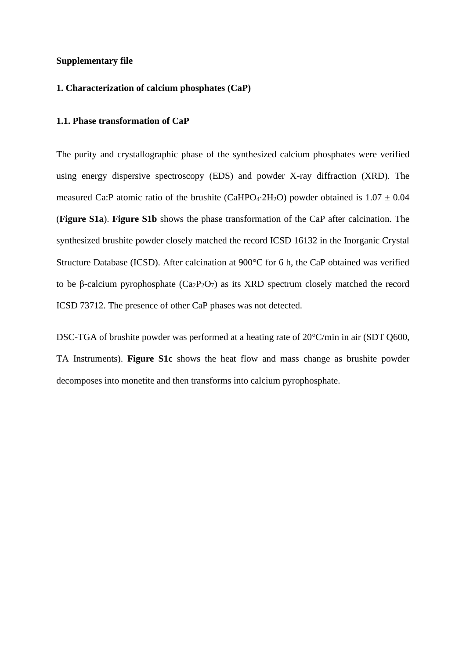# **Supplementary file**

# **1. Characterization of calcium phosphates (CaP)**

# **1.1. Phase transformation of CaP**

The purity and crystallographic phase of the synthesized calcium phosphates were verified using energy dispersive spectroscopy (EDS) and powder X-ray diffraction (XRD). The measured Ca:P atomic ratio of the brushite (CaHPO<sub>4</sub>⋅2H<sub>2</sub>O) powder obtained is  $1.07 \pm 0.04$ (**Figure S1a**). **Figure S1b** shows the phase transformation of the CaP after calcination. The synthesized brushite powder closely matched the record ICSD 16132 in the Inorganic Crystal Structure Database (ICSD). After calcination at 900°C for 6 h, the CaP obtained was verified to be β-calcium pyrophosphate  $(Ca<sub>2</sub>P<sub>2</sub>O<sub>7</sub>)$  as its XRD spectrum closely matched the record ICSD 73712. The presence of other CaP phases was not detected.

DSC-TGA of brushite powder was performed at a heating rate of 20°C/min in air (SDT Q600, TA Instruments). **Figure S1c** shows the heat flow and mass change as brushite powder decomposes into monetite and then transforms into calcium pyrophosphate.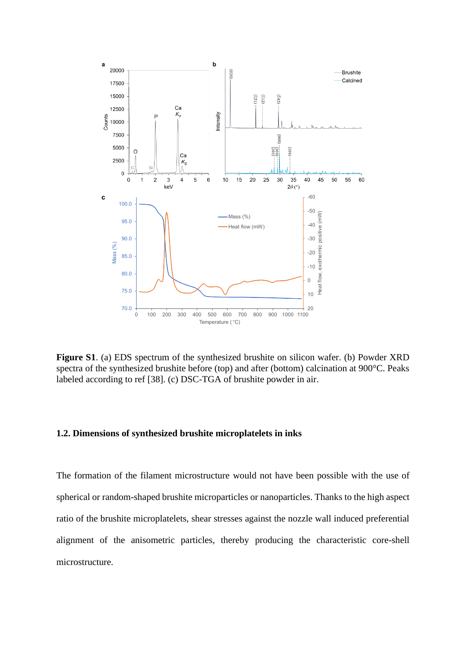

**Figure S1**. (a) EDS spectrum of the synthesized brushite on silicon wafer. (b) Powder XRD spectra of the synthesized brushite before (top) and after (bottom) calcination at 900°C. Peaks labeled according to ref [38]. (c) DSC-TGA of brushite powder in air.

# **1.2. Dimensions of synthesized brushite microplatelets in inks**

The formation of the filament microstructure would not have been possible with the use of spherical or random-shaped brushite microparticles or nanoparticles. Thanks to the high aspect ratio of the brushite microplatelets, shear stresses against the nozzle wall induced preferential alignment of the anisometric particles, thereby producing the characteristic core-shell microstructure.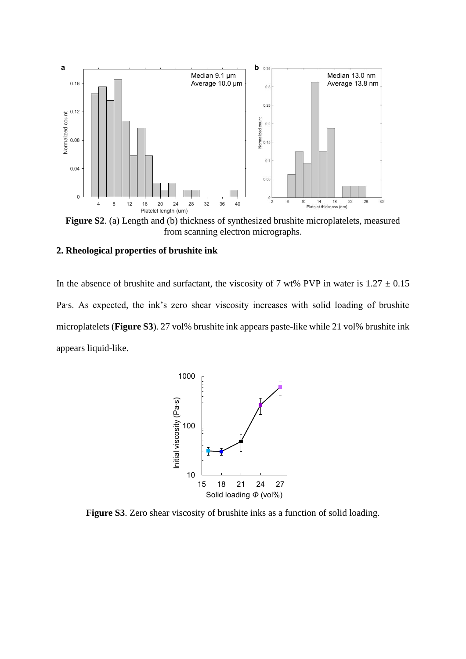

**Figure S2**. (a) Length and (b) thickness of synthesized brushite microplatelets, measured from scanning electron micrographs.

# **2. Rheological properties of brushite ink**

In the absence of brushite and surfactant, the viscosity of 7 wt% PVP in water is  $1.27 \pm 0.15$ Pa⋅s. As expected, the ink's zero shear viscosity increases with solid loading of brushite microplatelets (**Figure S3**). 27 vol% brushite ink appears paste-like while 21 vol% brushite ink appears liquid-like.



**Figure S3**. Zero shear viscosity of brushite inks as a function of solid loading.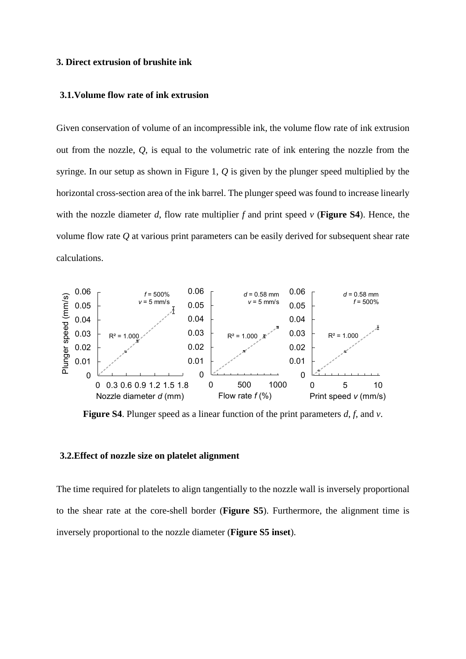#### **3. Direct extrusion of brushite ink**

#### **3.1.Volume flow rate of ink extrusion**

Given conservation of volume of an incompressible ink, the volume flow rate of ink extrusion out from the nozzle, *Q*, is equal to the volumetric rate of ink entering the nozzle from the syringe. In our setup as shown in Figure 1, *Q* is given by the plunger speed multiplied by the horizontal cross-section area of the ink barrel. The plunger speed was found to increase linearly with the nozzle diameter *d*, flow rate multiplier *f* and print speed *v* (**Figure S4**). Hence, the volume flow rate *Q* at various print parameters can be easily derived for subsequent shear rate calculations.



**Figure S4**. Plunger speed as a linear function of the print parameters *d*, *f*, and *v*.

## **3.2.Effect of nozzle size on platelet alignment**

The time required for platelets to align tangentially to the nozzle wall is inversely proportional to the shear rate at the core-shell border (**Figure S5**). Furthermore, the alignment time is inversely proportional to the nozzle diameter (**Figure S5 inset**).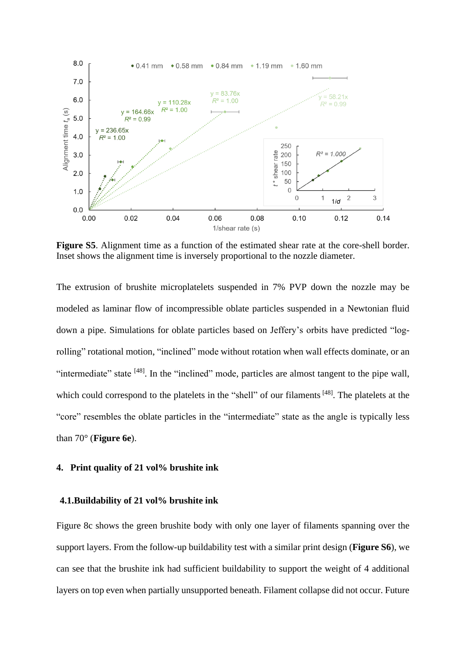

**Figure S5**. Alignment time as a function of the estimated shear rate at the core-shell border. Inset shows the alignment time is inversely proportional to the nozzle diameter.

The extrusion of brushite microplatelets suspended in 7% PVP down the nozzle may be modeled as laminar flow of incompressible oblate particles suspended in a Newtonian fluid down a pipe. Simulations for oblate particles based on Jeffery's orbits have predicted "logrolling" rotational motion, "inclined" mode without rotation when wall effects dominate, or an "intermediate" state <sup>[48]</sup>. In the "inclined" mode, particles are almost tangent to the pipe wall, which could correspond to the platelets in the "shell" of our filaments<sup>[48]</sup>. The platelets at the "core" resembles the oblate particles in the "intermediate" state as the angle is typically less than 70° (**Figure 6e**).

# **4. Print quality of 21 vol% brushite ink**

# **4.1.Buildability of 21 vol% brushite ink**

Figure 8c shows the green brushite body with only one layer of filaments spanning over the support layers. From the follow-up buildability test with a similar print design (**Figure S6**), we can see that the brushite ink had sufficient buildability to support the weight of 4 additional layers on top even when partially unsupported beneath. Filament collapse did not occur. Future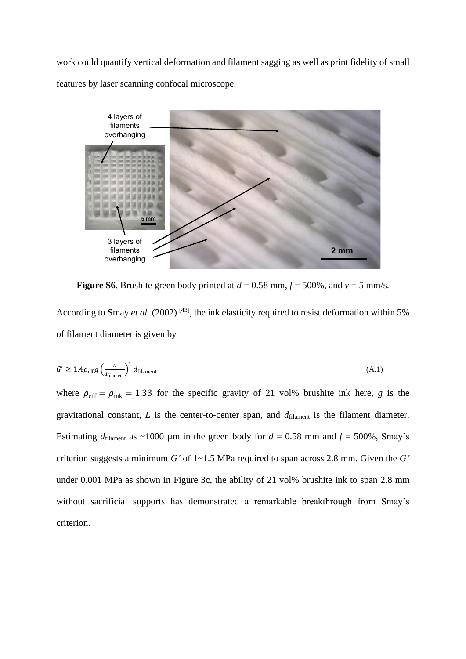work could quantify vertical deformation and filament sagging as well as print fidelity of small features by laser scanning confocal microscope.



**Figure S6**. Brushite green body printed at  $d = 0.58$  mm,  $f = 500\%$ , and  $v = 5$  mm/s. According to Smay *et al.* (2002)<sup>[43]</sup>, the ink elasticity required to resist deformation within 5% of filament diameter is given by

$$
G' \ge 1.4 \rho_{\text{eff}} g \left( \frac{L}{d_{\text{filament}}} \right)^4 d_{\text{filament}} \tag{A.1}
$$

where  $\rho_{\text{eff}} = \rho_{\text{ink}} = 1.33$  for the specific gravity of 21 vol% brushite ink here, *g* is the gravitational constant,  $L$  is the center-to-center span, and  $d_{\text{filament}}$  is the filament diameter. Estimating  $d_{\text{filament}}$  as ~1000 µm in the green body for  $d = 0.58$  mm and  $f = 500\%$ , Smay's criterion suggests a minimum *G'* of 1~1.5 MPa required to span across 2.8 mm. Given the *G'* under 0.001 MPa as shown in Figure 3c, the ability of 21 vol% brushite ink to span 2.8 mm without sacrificial supports has demonstrated a remarkable breakthrough from Smay's criterion.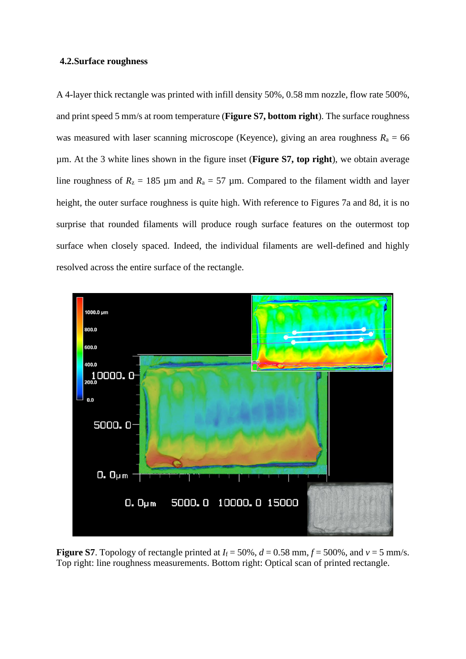### **4.2.Surface roughness**

A 4-layer thick rectangle was printed with infill density 50%, 0.58 mm nozzle, flow rate 500%, and print speed 5 mm/s at room temperature (**Figure S7, bottom right**). The surface roughness was measured with laser scanning microscope (Keyence), giving an area roughness  $R_a = 66$ µm. At the 3 white lines shown in the figure inset (**Figure S7, top right**), we obtain average line roughness of  $R_z = 185 \mu m$  and  $R_a = 57 \mu m$ . Compared to the filament width and layer height, the outer surface roughness is quite high. With reference to Figures 7a and 8d, it is no surprise that rounded filaments will produce rough surface features on the outermost top surface when closely spaced. Indeed, the individual filaments are well-defined and highly resolved across the entire surface of the rectangle.



**Figure S7**. Topology of rectangle printed at  $I_f = 50\%$ ,  $d = 0.58$  mm,  $f = 500\%$ , and  $v = 5$  mm/s. Top right: line roughness measurements. Bottom right: Optical scan of printed rectangle.